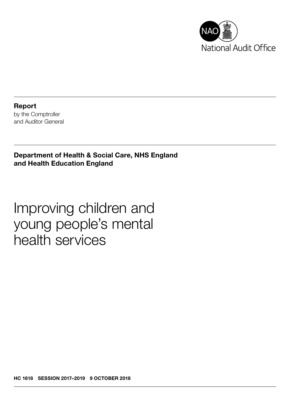

Report by the Comptroller and Auditor General

Department of Health & Social Care, NHS England and Health Education England

Improving children and young people's mental health services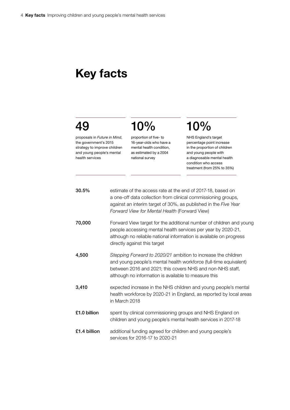## Key facts

## 49

proposals in *Future in Mind*, the government's 2015 strategy to improve children and young people's mental health services

proportion of five- to 16-year-olds who have a mental health condition, as estimated by a 2004 national survey

10%

# 10%

NHS England's target percentage point increase in the proportion of children and young people with a diagnosable mental health condition who access treatment (from 25% to 35%)

| 30.5%        | estimate of the access rate at the end of 2017-18, based on<br>a one-off data collection from clinical commissioning groups,<br>against an interim target of 30%, as published in the Five Year<br>Forward View for Mental Health (Forward View)        |
|--------------|---------------------------------------------------------------------------------------------------------------------------------------------------------------------------------------------------------------------------------------------------------|
| 70,000       | Forward View target for the additional number of children and young<br>people accessing mental health services per year by 2020-21,<br>although no reliable national information is available on progress<br>directly against this target               |
| 4,500        | Stepping Forward to 2020/21 ambition to increase the children<br>and young people's mental health workforce (full-time equivalent)<br>between 2016 and 2021; this covers NHS and non-NHS staff,<br>although no information is available to measure this |
| 3,410        | expected increase in the NHS children and young people's mental<br>health workforce by 2020-21 in England, as reported by local areas<br>in March 2018                                                                                                  |
| £1.0 billion | spent by clinical commissioning groups and NHS England on<br>children and young people's mental health services in 2017-18                                                                                                                              |
| £1.4 billion | additional funding agreed for children and young people's<br>services for 2016-17 to 2020-21                                                                                                                                                            |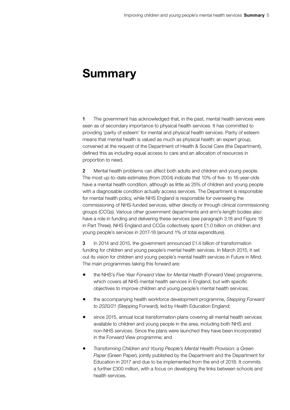### Summary

1 The government has acknowledged that, in the past, mental health services were seen as of secondary importance to physical health services. It has committed to providing 'parity of esteem' for mental and physical health services. Parity of esteem means that mental health is valued as much as physical health: an expert group, convened at the request of the Department of Health & Social Care (the Department), defined this as including equal access to care and an allocation of resources in proportion to need.

2 Mental health problems can affect both adults and children and young people. The most up-to-date estimates (from 2004) indicate that 10% of five- to 16-year-olds have a mental health condition, although as little as 25% of children and young people with a diagnosable condition actually access services. The Department is responsible for mental health policy, while NHS England is responsible for overseeing the commissioning of NHS-funded services, either directly or through clinical commissioning groups (CCGs). Various other government departments and arm's-length bodies also have a role in funding and delivering these services (see paragraph 3.18 and Figure 18 in Part Three). NHS England and CCGs collectively spent £1.0 billion on children and young people's services in 2017-18 (around 1% of total expenditure).

3 In 2014 and 2015, the government announced £1.4 billion of transformation funding for children and young people's mental health services. In March 2015, it set out its vision for children and young people's mental health services in Future in Mind. The main programmes taking this forward are:

- the NHS's *Five Year Forward View for Mental Health* (Forward View) programme, which covers all NHS mental health services in England, but with specific objectives to improve children and young people's mental health services;
- the accompanying health workforce development programme, *Stepping Forward to 2020/21* (Stepping Forward), led by Health Education England;
- since 2015, annual local transformation plans covering all mental health services available to children and young people in the area, including both NHS and non-NHS services. Since the plans were launched they have been incorporated in the Forward View programme; and
- *Transforming Children and Young People's Mental Health Provision: a Green Paper* (Green Paper), jointly published by the Department and the Department for Education in 2017 and due to be implemented from the end of 2018. It commits a further £300 million, with a focus on developing the links between schools and health services.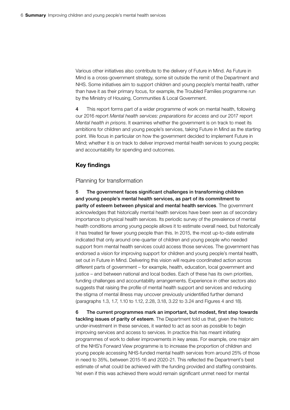Various other initiatives also contribute to the delivery of Future in Mind. As Future in Mind is a cross-government strategy, some sit outside the remit of the Department and NHS. Some initiatives aim to support children and young people's mental health, rather than have it as their primary focus, for example, the Troubled Families programme run by the Ministry of Housing, Communities & Local Government.

4 This report forms part of a wider programme of work on mental health, following our 2016 report *Mental health services: preparations for access* and our 2017 report *Mental health in prisons*. It examines whether the government is on track to meet its ambitions for children and young people's services, taking Future in Mind as the starting point. We focus in particular on how the government decided to implement Future in Mind; whether it is on track to deliver improved mental health services to young people; and accountability for spending and outcomes.

#### Key findings

#### Planning for transformation

5 The government faces significant challenges in transforming children and young people's mental health services, as part of its commitment to parity of esteem between physical and mental health services. The government acknowledges that historically mental health services have been seen as of secondary importance to physical health services. Its periodic survey of the prevalence of mental health conditions among young people allows it to estimate overall need, but historically it has treated far fewer young people than this. In 2015, the most up-to-date estimate indicated that only around one-quarter of children and young people who needed support from mental health services could access those services. The government has endorsed a vision for improving support for children and young people's mental health, set out in Future in Mind. Delivering this vision will require coordinated action across different parts of government – for example, health, education, local government and justice – and between national and local bodies. Each of these has its own priorities, funding challenges and accountability arrangements. Experience in other sectors also suggests that raising the profile of mental health support and services and reducing the stigma of mental illness may uncover previously unidentified further demand (paragraphs 1.3, 1.7, 1.10 to 1.12, 2.28, 3.18, 3.22 to 3.24 and Figures 4 and 18).

6 The current programmes mark an important, but modest, first step towards tackling issues of parity of esteem. The Department told us that, given the historic under-investment in these services, it wanted to act as soon as possible to begin improving services and access to services. In practice this has meant initiating programmes of work to deliver improvements in key areas. For example, one major aim of the NHS's Forward View programme is to increase the proportion of children and young people accessing NHS-funded mental health services from around 25% of those in need to 35%, between 2015-16 and 2020-21. This reflected the Department's best estimate of what could be achieved with the funding provided and staffing constraints. Yet even if this was achieved there would remain significant unmet need for mental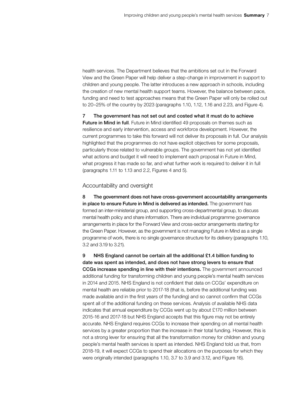health services. The Department believes that the ambitions set out in the Forward View and the Green Paper will help deliver a step-change in improvement in support to children and young people. The latter introduces a new approach in schools, including the creation of new mental health support teams. However, the balance between pace, funding and need to test approaches means that the Green Paper will only be rolled out to 20–25% of the country by 2023 (paragraphs 1.10, 1.12, 1.16 and 2.23, and Figure 4).

7 The government has not set out and costed what it must do to achieve Future in Mind in full. Future in Mind identified 49 proposals on themes such as resilience and early intervention, access and workforce development. However, the current programmes to take this forward will not deliver its proposals in full. Our analysis highlighted that the programmes do not have explicit objectives for some proposals, particularly those related to vulnerable groups. The government has not yet identified what actions and budget it will need to implement each proposal in Future in Mind, what progress it has made so far, and what further work is required to deliver it in full (paragraphs 1.11 to 1.13 and 2.2, Figures 4 and 5).

#### Accountability and oversight

8 The government does not have cross-government accountability arrangements in place to ensure Future in Mind is delivered as intended. The government has formed an inter-ministerial group, and supporting cross-departmental group, to discuss mental health policy and share information. There are individual programme governance arrangements in place for the Forward View and cross-sector arrangements starting for the Green Paper. However, as the government is not managing Future in Mind as a single programme of work, there is no single governance structure for its delivery (paragraphs 1.10, 3.2 and 3.19 to 3.21).

9 NHS England cannot be certain all the additional £1.4 billion funding to date was spent as intended, and does not have strong levers to ensure that CCGs increase spending in line with their intentions. The government announced additional funding for transforming children and young people's mental health services in 2014 and 2015. NHS England is not confident that data on CCGs' expenditure on mental health are reliable prior to 2017-18 (that is, before the additional funding was made available and in the first years of the funding) and so cannot confirm that CCGs spent all of the additional funding on these services. Analysis of available NHS data indicates that annual expenditure by CCGs went up by about £170 million between 2015-16 and 2017-18 but NHS England accepts that this figure may not be entirely accurate. NHS England requires CCGs to increase their spending on all mental health services by a greater proportion than the increase in their total funding. However, this is not a strong lever for ensuring that all the transformation money for children and young people's mental health services is spent as intended. NHS England told us that, from 2018-19, it will expect CCGs to spend their allocations on the purposes for which they were originally intended (paragraphs 1.10, 3.7 to 3.9 and 3.12, and Figure 16).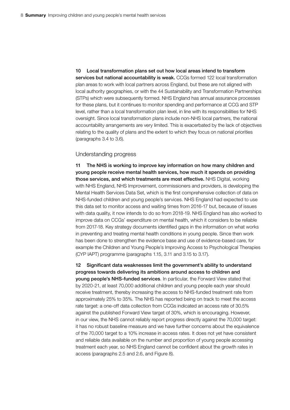10 Local transformation plans set out how local areas intend to transform services but national accountability is weak. CCGs formed 122 local transformation plan areas to work with local partners across England, but these are not aligned with local authority geographies, or with the 44 Sustainability and Transformation Partnerships (STPs) which were subsequently formed. NHS England has annual assurance processes for these plans, but it continues to monitor spending and performance at CCG and STP level, rather than a local transformation plan level, in line with its responsibilities for NHS oversight. Since local transformation plans include non-NHS local partners, the national accountability arrangements are very limited. This is exacerbated by the lack of objectives relating to the quality of plans and the extent to which they focus on national priorities (paragraphs 3.4 to 3.6).

#### Understanding progress

11 The NHS is working to improve key information on how many children and young people receive mental health services, how much it spends on providing those services, and which treatments are most effective. NHS Digital, working with NHS England, NHS Improvement, commissioners and providers, is developing the Mental Health Services Data Set, which is the first comprehensive collection of data on NHS-funded children and young people's services. NHS England had expected to use this data set to monitor access and waiting times from 2016-17 but, because of issues with data quality, it now intends to do so from 2018-19. NHS England has also worked to improve data on CCGs' expenditure on mental health, which it considers to be reliable from 2017-18. Key strategy documents identified gaps in the information on what works in preventing and treating mental health conditions in young people. Since then work has been done to strengthen the evidence base and use of evidence-based care, for example the Children and Young People's Improving Access to Psychological Therapies (CYP IAPT) programme (paragraphs 1.15, 3.11 and 3.15 to 3.17).

12 Significant data weaknesses limit the government's ability to understand progress towards delivering its ambitions around access to children and young people's NHS-funded services. In particular, the Forward View stated that by 2020-21, at least 70,000 additional children and young people each year should receive treatment, thereby increasing the access to NHS-funded treatment rate from approximately 25% to 35%. The NHS has reported being on track to meet the access rate target: a one-off data collection from CCGs indicated an access rate of 30.5% against the published Forward View target of 30%, which is encouraging. However, in our view, the NHS cannot reliably report progress directly against the 70,000 target: it has no robust baseline measure and we have further concerns about the equivalence of the 70,000 target to a 10% increase in access rates. It does not yet have consistent and reliable data available on the number and proportion of young people accessing treatment each year, so NHS England cannot be confident about the growth rates in access (paragraphs 2.5 and 2.6, and Figure 8).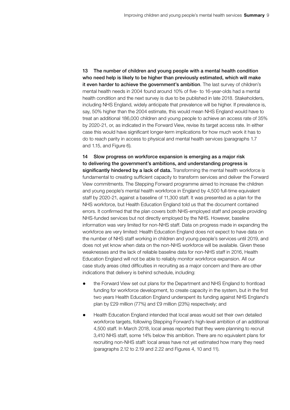13 The number of children and young people with a mental health condition who need help is likely to be higher than previously estimated, which will make it even harder to achieve the government's ambition. The last survey of children's mental health needs in 2004 found around 10% of five- to 16-year-olds had a mental health condition and the next survey is due to be published in late 2018. Stakeholders, including NHS England, widely anticipate that prevalence will be higher. If prevalence is, say, 50% higher than the 2004 estimate, this would mean NHS England would have to treat an additional 186,000 children and young people to achieve an access rate of 35% by 2020-21, or, as indicated in the Forward View, revise its target access rate. In either case this would have significant longer-term implications for how much work it has to do to reach parity in access to physical and mental health services (paragraphs 1.7 and 1.15, and Figure 6).

14 Slow progress on workforce expansion is emerging as a major risk to delivering the government's ambitions, and understanding progress is significantly hindered by a lack of data. Transforming the mental health workforce is fundamental to creating sufficient capacity to transform services and deliver the Forward View commitments. The Stepping Forward programme aimed to increase the children and young people's mental health workforce in England by 4,500 full-time equivalent staff by 2020-21, against a baseline of 11,300 staff. It was presented as a plan for the NHS workforce, but Health Education England told us that the document contained errors. It confirmed that the plan covers both NHS-employed staff and people providing NHS-funded services but not directly employed by the NHS. However, baseline information was very limited for non-NHS staff. Data on progress made in expanding the workforce are very limited: Health Education England does not expect to have data on the number of NHS staff working in children and young people's services until 2019, and does not yet know when data on the non-NHS workforce will be available. Given these weaknesses and the lack of reliable baseline data for non-NHS staff in 2016, Health Education England will not be able to reliably monitor workforce expansion. All our case study areas cited difficulties in recruiting as a major concern and there are other indications that delivery is behind schedule, including:

- the Forward View set out plans for the Department and NHS England to frontload funding for workforce development, to create capacity in the system, but in the first two years Health Education England underspent its funding against NHS England's plan by £29 million (77%) and £9 million (23%) respectively; and
- Health Education England intended that local areas would set their own detailed workforce targets, following Stepping Forward's high-level ambition of an additional 4,500 staff. In March 2018, local areas reported that they were planning to recruit 3,410 NHS staff, some 14% below this ambition. There are no equivalent plans for recruiting non-NHS staff: local areas have not yet estimated how many they need (paragraphs 2.12 to 2.19 and 2.22 and Figures 4, 10 and 11).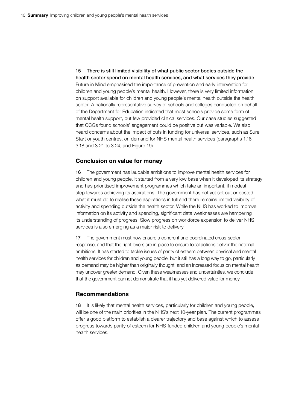15 There is still limited visibility of what public sector bodies outside the health sector spend on mental health services, and what services they provide. Future in Mind emphasised the importance of prevention and early intervention for children and young people's mental health. However, there is very limited information on support available for children and young people's mental health outside the health sector. A nationally representative survey of schools and colleges conducted on behalf of the Department for Education indicated that most schools provide some form of mental health support, but few provided clinical services. Our case studies suggested that CCGs found schools' engagement could be positive but was variable. We also heard concerns about the impact of cuts in funding for universal services, such as Sure Start or youth centres, on demand for NHS mental health services (paragraphs 1.16, 3.18 and 3.21 to 3.24, and Figure 19).

#### Conclusion on value for money

16 The government has laudable ambitions to improve mental health services for children and young people. It started from a very low base when it developed its strategy and has prioritised improvement programmes which take an important, if modest, step towards achieving its aspirations. The government has not yet set out or costed what it must do to realise these aspirations in full and there remains limited visibility of activity and spending outside the health sector. While the NHS has worked to improve information on its activity and spending, significant data weaknesses are hampering its understanding of progress. Slow progress on workforce expansion to deliver NHS services is also emerging as a major risk to delivery.

17 The government must now ensure a coherent and coordinated cross-sector response, and that the right levers are in place to ensure local actions deliver the national ambitions. It has started to tackle issues of parity of esteem between physical and mental health services for children and young people, but it still has a long way to go, particularly as demand may be higher than originally thought, and an increased focus on mental health may uncover greater demand. Given these weaknesses and uncertainties, we conclude that the government cannot demonstrate that it has yet delivered value for money.

#### Recommendations

18 It is likely that mental health services, particularly for children and young people, will be one of the main priorities in the NHS's next 10-year plan. The current programmes offer a good platform to establish a clearer trajectory and base against which to assess progress towards parity of esteem for NHS-funded children and young people's mental health services.